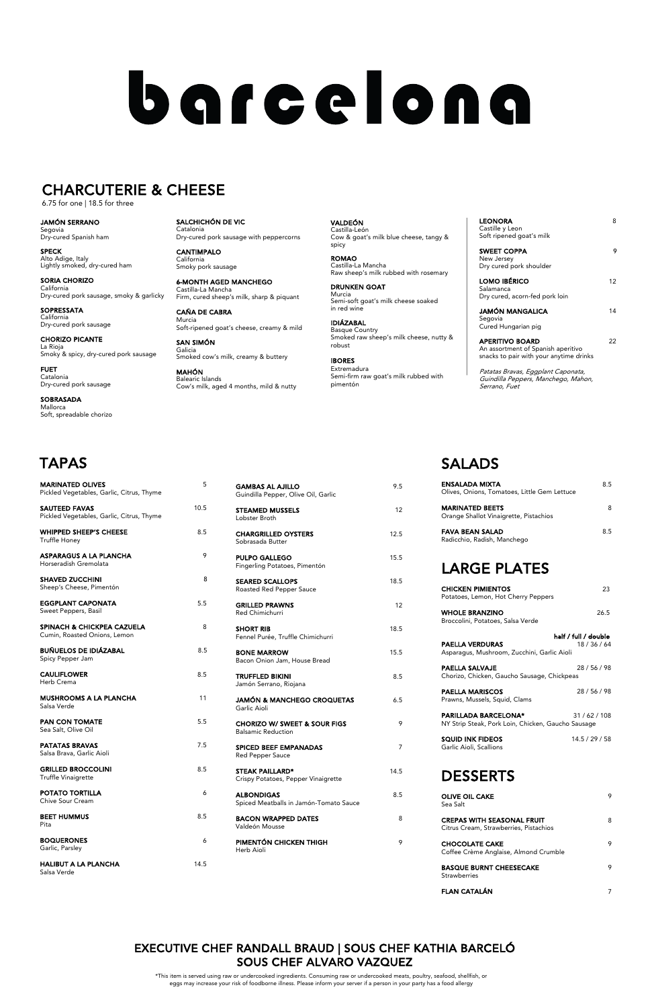| <b>MARINATED OLIVES</b><br>Pickled Vegetables, Garlic, Citrus, Thyme  | 5    | <b>GAMBAS AL AJILLO</b><br>Guindilla Pepper, Olive Oil, Garlic       | 9.5            | ENSALADA MIXTA<br>Olives, Onions, Tomatoes, Little Gem Lettuce                    | 8.5            |
|-----------------------------------------------------------------------|------|----------------------------------------------------------------------|----------------|-----------------------------------------------------------------------------------|----------------|
| <b>SAUTEED FAVAS</b><br>Pickled Vegetables, Garlic, Citrus, Thyme     | 10.5 | <b>STEAMED MUSSELS</b><br>Lobster Broth                              | 12             | <b>MARINATED BEETS</b><br>Orange Shallot Vinaigrette, Pistachios                  | 8              |
| <b>WHIPPED SHEEP'S CHEESE</b><br><b>Truffle Honey</b>                 | 8.5  | <b>CHARGRILLED OYSTERS</b><br>Sobrasada Butter                       | 12.5           | <b>FAVA BEAN SALAD</b><br>Radicchio, Radish, Manchego                             | 8.5            |
| <b>ASPARAGUS A LA PLANCHA</b><br>Horseradish Gremolata                | 9    | <b>PULPO GALLEGO</b><br>Fingerling Potatoes, Pimentón                | 15.5           | <b>LARGE PLATES</b>                                                               |                |
| <b>SHAVED ZUCCHINI</b><br>Sheep's Cheese, Pimentón                    | 8    | <b>SEARED SCALLOPS</b><br>Roasted Red Pepper Sauce                   | 18.5           | <b>CHICKEN PIMIENTOS</b><br>Potatoes, Lemon, Hot Cherry Peppers                   | 23             |
| <b>EGGPLANT CAPONATA</b><br>Sweet Peppers, Basil                      | 5.5  | <b>GRILLED PRAWNS</b><br><b>Red Chimichurri</b>                      | 12             | <b>WHOLE BRANZINO</b><br>Broccolini, Potatoes, Salsa Verde                        | 26.5           |
| <b>SPINACH &amp; CHICKPEA CAZUELA</b><br>Cumin, Roasted Onions, Lemon | 8    | <b>SHORT RIB</b><br>Fennel Purée, Truffle Chimichurri                | 18.5           | half / full / double<br><b>PAELLA VERDURAS</b>                                    | 18/36/64       |
| <b>BUÑUELOS DE IDIÁZABAL</b><br>Spicy Pepper Jam                      | 8.5  | <b>BONE MARROW</b><br>Bacon Onion Jam, House Bread                   | 15.5           | Asparagus, Mushroom, Zucchini, Garlic Aioli                                       |                |
| <b>CAULIFLOWER</b><br>Herb Crema                                      | 8.5  | <b>TRUFFLED BIKINI</b><br>Jamón Serrano, Riojana                     | 8.5            | <b>PAELLA SALVAJE</b><br>Chorizo, Chicken, Gaucho Sausage, Chickpeas              | 28/56/98       |
| <b>MUSHROOMS A LA PLANCHA</b><br>Salsa Verde                          | 11   | <b>JAMÓN &amp; MANCHEGO CROQUETAS</b><br>Garlic Aioli                | 6.5            | <b>PAELLA MARISCOS</b><br>Prawns, Mussels, Squid, Clams                           | 28 / 56 / 98   |
| PAN CON TOMATE<br>Sea Salt, Olive Oil                                 | 5.5  | <b>CHORIZO W/ SWEET &amp; SOUR FIGS</b><br><b>Balsamic Reduction</b> | 9              | <b>PARILLADA BARCELONA*</b><br>NY Strip Steak, Pork Loin, Chicken, Gaucho Sausage | 31/62/108      |
| <b>PATATAS BRAVAS</b><br>Salsa Brava, Garlic Aioli                    | 7.5  | <b>SPICED BEEF EMPANADAS</b><br><b>Red Pepper Sauce</b>              | $\overline{7}$ | <b>SQUID INK FIDEOS</b><br>Garlic Aioli, Scallions                                | 14.5 / 29 / 58 |
| <b>GRILLED BROCCOLINI</b><br>Truffle Vinaigrette                      | 8.5  | <b>STEAK PAILLARD*</b><br>Crispy Potatoes, Pepper Vinaigrette        | 14.5           | <b>DESSERTS</b>                                                                   |                |
| POTATO TORTILLA<br>Chive Sour Cream                                   | 6    | <b>ALBONDIGAS</b><br>Spiced Meatballs in Jamón-Tomato Sauce          | 8.5            | <b>OLIVE OIL CAKE</b><br>Sea Salt                                                 | 9              |
| <b>BEET HUMMUS</b><br>Pita                                            | 8.5  | <b>BACON WRAPPED DATES</b><br>Valdeón Mousse                         | 8              | <b>CREPAS WITH SEASONAL FRUIT</b><br>Citrus Cream, Strawberries, Pistachios       | 8              |
| <b>BOQUERONES</b><br>Garlic, Parsley                                  | 6    | PIMENTÓN CHICKEN THIGH<br>Herb Aioli                                 | 9              | <b>CHOCOLATE CAKE</b><br>Coffee Crème Anglaise, Almond Crumble                    | 9              |
| <b>HALIBUT A LA PLANCHA</b><br>Salsa Verde                            | 14.5 |                                                                      |                | <b>BASQUE BURNT CHEESECAKE</b><br><b>Strawberries</b>                             | 9              |
|                                                                       |      |                                                                      |                |                                                                                   |                |

**SOBRASADA** Mallorca Soft, spreadable chorizo

## SALADS

JAMÓN SERRANO Segovia Dry-cured Spanish ham

SPECK Alto Adige, Italy Lightly smoked, dry-cured ham

SORIA CHORIZO California Dry-cured pork sausage, smoky & garlicky

SOPRESSATA California Dry-cured pork sausage

CHORIZO PICANTE La Rioja Smoky & spicy, dry-cured pork sausage

FUET Catalonia Dry-cured pork sausage

| <b>MARINATED OLIVES</b><br>Pickled Vegetables, Garlic, Citrus, Thyme  | 5    | <b>GAMBAS AL AJILLO</b><br>Guindilla Pepper, Olive Oil, Garlic       | 9.5            | <b>ENSALADA MIXTA</b><br>Olives, Onions, Tomatoes, Little Gem Lettuce             | 8.5            |
|-----------------------------------------------------------------------|------|----------------------------------------------------------------------|----------------|-----------------------------------------------------------------------------------|----------------|
| <b>SAUTEED FAVAS</b><br>Pickled Vegetables, Garlic, Citrus, Thyme     | 10.5 | <b>STEAMED MUSSELS</b><br>Lobster Broth                              | 12             | <b>MARINATED BEETS</b><br>Orange Shallot Vinaigrette, Pistachios                  | 8              |
| <b>WHIPPED SHEEP'S CHEESE</b><br><b>Truffle Honey</b>                 | 8.5  | <b>CHARGRILLED OYSTERS</b><br>Sobrasada Butter                       | 12.5           | <b>FAVA BEAN SALAD</b><br>Radicchio, Radish, Manchego                             | 8.5            |
| <b>ASPARAGUS A LA PLANCHA</b><br>Horseradish Gremolata                | 9    | <b>PULPO GALLEGO</b><br>Fingerling Potatoes, Pimentón                | 15.5           | <b>LARGE PLATES</b>                                                               |                |
| <b>SHAVED ZUCCHINI</b><br>Sheep's Cheese, Pimentón                    | 8    | <b>SEARED SCALLOPS</b><br>Roasted Red Pepper Sauce                   | 18.5           | <b>CHICKEN PIMIENTOS</b>                                                          | 23             |
| <b>EGGPLANT CAPONATA</b><br>Sweet Peppers, Basil                      | 5.5  | <b>GRILLED PRAWNS</b><br>Red Chimichurri                             | 12             | Potatoes, Lemon, Hot Cherry Peppers<br><b>WHOLE BRANZINO</b>                      | 26.5           |
| <b>SPINACH &amp; CHICKPEA CAZUELA</b><br>Cumin, Roasted Onions, Lemon | 8    | <b>SHORT RIB</b><br>Fennel Purée, Truffle Chimichurri                | 18.5           | Broccolini, Potatoes, Salsa Verde<br>half / full / double                         |                |
| <b>BUÑUELOS DE IDIÁZABAL</b><br>Spicy Pepper Jam                      | 8.5  | <b>BONE MARROW</b><br>Bacon Onion Jam, House Bread                   | 15.5           | <b>PAELLA VERDURAS</b><br>Asparagus, Mushroom, Zucchini, Garlic Aioli             | 18/36/64       |
| <b>CAULIFLOWER</b><br>Herb Crema                                      | 8.5  | <b>TRUFFLED BIKINI</b><br>Jamón Serrano, Riojana                     | 8.5            | <b>PAELLA SALVAJE</b><br>Chorizo, Chicken, Gaucho Sausage, Chickpeas              | 28 / 56 / 98   |
| <b>MUSHROOMS A LA PLANCHA</b><br>Salsa Verde                          | 11   | JAMÓN & MANCHEGO CROQUETAS<br>Garlic Aioli                           | 6.5            | <b>PAELLA MARISCOS</b><br>Prawns, Mussels, Squid, Clams                           | 28 / 56 / 98   |
| <b>PAN CON TOMATE</b><br>Sea Salt, Olive Oil                          | 5.5  | <b>CHORIZO W/ SWEET &amp; SOUR FIGS</b><br><b>Balsamic Reduction</b> | 9              | <b>PARILLADA BARCELONA*</b><br>NY Strip Steak, Pork Loin, Chicken, Gaucho Sausage | 31/62/108      |
| <b>PATATAS BRAVAS</b><br>Salsa Brava, Garlic Aioli                    | 7.5  | <b>SPICED BEEF EMPANADAS</b><br><b>Red Pepper Sauce</b>              | $\overline{7}$ | <b>SQUID INK FIDEOS</b><br>Garlic Aioli, Scallions                                | 14.5 / 29 / 58 |
| <b>GRILLED BROCCOLINI</b><br>Truffle Vinaigrette                      | 8.5  | <b>STEAK PAILLARD*</b><br>Crispy Potatoes, Pepper Vinaigrette        | 14.5           | <b>DESSERTS</b>                                                                   |                |
| POTATO TORTILLA<br>Chive Sour Cream                                   | 6    | <b>ALBONDIGAS</b><br>Spiced Meatballs in Jamón-Tomato Sauce          | 8.5            | <b>OLIVE OIL CAKE</b><br>Sea Salt                                                 | 9              |
| <b>BEET HUMMUS</b><br>Pita                                            | 8.5  | <b>BACON WRAPPED DATES</b><br>Valdeón Mousse                         | 8              | <b>CREPAS WITH SEASONAL FRUIT</b><br>Citrus Cream, Strawberries, Pistachios       | 8              |
| <b>BOQUERONES</b><br>Garlic, Parsley                                  | 6    | PIMENTÓN CHICKEN THIGH<br>Herb Aioli                                 | 9              | <b>CHOCOLATE CAKE</b><br>Coffee Crème Anglaise, Almond Crumble                    | 9              |
| <b>HALIBUT A LA PLANCHA</b><br>Salsa Verde                            | 14.5 |                                                                      |                | <b>BASQUE BURNT CHEESECAKE</b><br><b>Strawberries</b>                             | 9              |

| <b>LEONORA</b><br>Castille y Leon<br>Soft ripened goat's milk                                           | 8  |
|---------------------------------------------------------------------------------------------------------|----|
| <b>SWEET COPPA</b><br>New Jersey<br>Dry cured pork shoulder                                             | 9  |
| <b>LOMO IBÉRICO</b><br>Salamanca<br>Dry cured, acorn-fed pork loin                                      | 12 |
| JAMÓN MANGALICA<br>Segovia<br>Cured Hungarian pig                                                       | 14 |
| <b>APERITIVO BOARD</b><br>An assortment of Spanish aperitivo<br>snacks to pair with your anytime drinks | 22 |
| Patatas Bravas, Eggplant Caponata,                                                                      |    |

Guindilla Peppers, Manchego, Mahon, Serrano, Fuet

FLAN CATALÁN 7

# barcelona

### CHARCUTERIE & CHEESE

6.75 for one | 18.5 for three

## EXECUTIVE CHEF RANDALL BRAUD | SOUS CHEF KATHIA BARCELÓ SOUS CHEF ALVARO VAZQUEZ

\*This item is served using raw or undercooked ingredients. Consuming raw or undercooked meats, poultry, seafood, shellfish, or eggs may increase your risk of foodborne illness. Please inform your server if a person in your party has a food allergy

SALCHICHÓN DE VIC Catalonia Dry-cured pork sausage with peppercorns

CANTIMPALO California Smoky pork sausage

6-MONTH AGED MANCHEGO Castilla-La Mancha Firm, cured sheep's milk, sharp & piquant

CAÑA DE CABRA Murcia Soft-ripened goat's cheese, creamy & mild

SAN SIMÓN Galicia Smoked cow's milk, creamy & buttery

MAHÓN Balearic Islands Cow's milk, aged 4 months, mild & nutty

VALDEÓN Castilla-León Cow & goat's milk blue cheese, tangy & spicy

ROMAO Castilla-La Mancha Raw sheep's milk rubbed with rosemary

DRUNKEN GOAT Murcia Semi-soft goat's milk cheese soaked in red wine

IDIÁZABAL Basque Country Smoked raw sheep's milk cheese, nutty & robust

IBORES Extremadura Semi-firm raw goat's milk rubbed with pimentón

## TAPAS

| <b>MARINATED OLIVES</b><br>Pickled Vegetables, Garlic, Citrus, Thyme   |
|------------------------------------------------------------------------|
| <b>SAUTEED FAVAS</b><br>1<br>Pickled Vegetables, Garlic, Citrus, Thyme |
| <b>WHIPPED SHEEP'S CHEESE</b><br>Truffle Honey                         |
| <b>ASPARAGUS A LA PLANCHA</b><br>Horseradish Gremolata                 |
| <b>SHAVED ZUCCHINI</b><br>Sheep's Cheese, Pimentón                     |
| <b>EGGPLANT CAPONATA</b><br>Sweet Peppers, Basil                       |
| SPINACH & CHICKPEA CAZUELA<br>Cumin, Roasted Onions, Lemon             |
| <b>BUÑUELOS DE IDIÁZABAL</b><br>Spicy Pepper Jam                       |
| <b>CAULIFLOWER</b><br>Herb Crema                                       |
| <b>MUSHROOMS A LA PLANCHA</b><br>Salsa Verde                           |
| <b>PAN CON TOMATE</b><br>Sea Salt, Olive Oil                           |